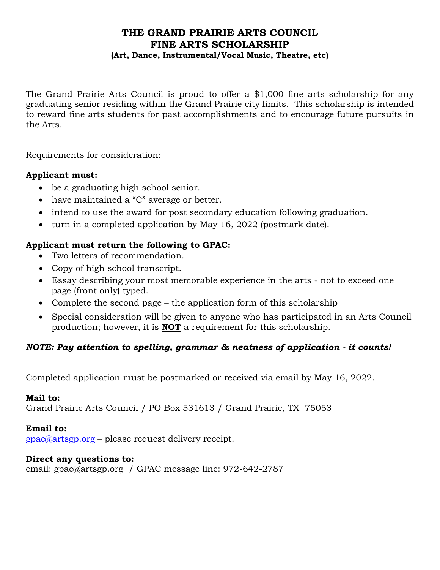# **THE GRAND PRAIRIE ARTS COUNCIL FINE ARTS SCHOLARSHIP**

### **(Art, Dance, Instrumental/Vocal Music, Theatre, etc)**

The Grand Prairie Arts Council is proud to offer a \$1,000 fine arts scholarship for any graduating senior residing within the Grand Prairie city limits. This scholarship is intended to reward fine arts students for past accomplishments and to encourage future pursuits in the Arts.

Requirements for consideration:

### **Applicant must:**

- be a graduating high school senior.
- have maintained a "C" average or better.
- intend to use the award for post secondary education following graduation.
- turn in a completed application by May 16, 2022 (postmark date).

## **Applicant must return the following to GPAC:**

- Two letters of recommendation.
- Copy of high school transcript.
- Essay describing your most memorable experience in the arts not to exceed one page (front only) typed.
- Complete the second page the application form of this scholarship
- Special consideration will be given to anyone who has participated in an Arts Council production; however, it is **NOT** a requirement for this scholarship.

### *NOTE: Pay attention to spelling, grammar & neatness of application - it counts!*

Completed application must be postmarked or received via email by May 16, 2022.

### **Mail to:**

Grand Prairie Arts Council / PO Box 531613 / Grand Prairie, TX 75053

### **Email to:**

[gpac@artsgp.org](mailto:gpac@artsgp.org) – please request delivery receipt.

#### **Direct any questions to:**

email: gpac@artsgp.org / GPAC message line: 972-642-2787